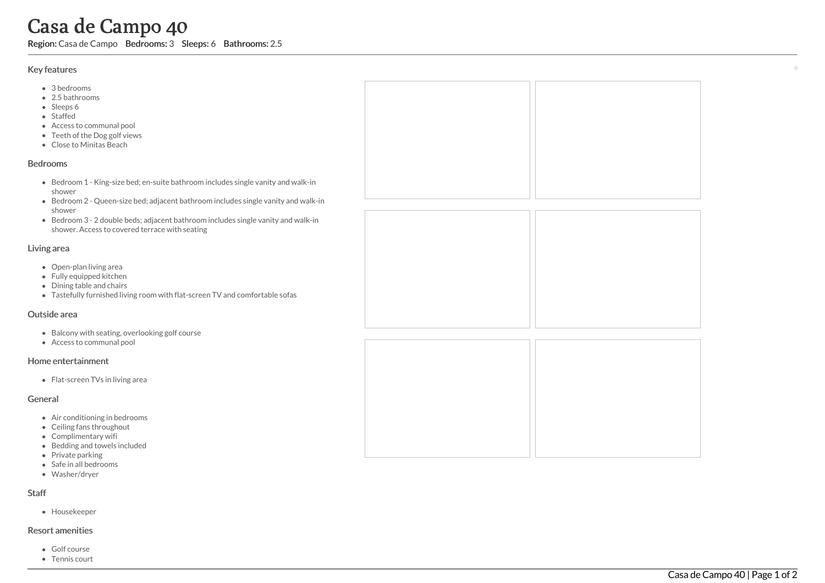# Casa de Campo 40

Region: Casa de Campo Bedrooms: 3 Sleeps: 6 Bathrooms: 2.5

#### Key features

- 3 b e d r o o m s
- 2.5 b a t h r o o m s
- Sleeps 6
- S t a f f e d
- Access to communal pool
- Teeth of the Dog golf view s
- Clo s e t o Minit a s B e a c h

#### **Bedrooms**

- Bedroom 1 King-size bed; en-suite bathroom includes single vanity and walk-in s h o w e r
- Bedroom 2 Queen-size bed; adjacent bathroom includes single vanity and walk-in s h o w e r
- Bedroom 3 2 double beds; adjacent bathroom includes single vanity and walk-in shower. Access to covered terrace with seating

#### Living area

- Open-plan living area
- Fully equipped kitchen
- Dining table and chairs
- Tastefully furnished living room with flat-screen TV and comfortable sofas

#### Outside area

- Balcony with seating, overlooking golf course
- Access to communal pool

#### Home entertainment

Flat-screen TVs in living area

#### General

- Air conditioning in bedrooms
- Ceiling fans throughout
- Complimentary wifi
- Bedding and towels in clu d e d
- Private parking
- Safe in all bedrooms
- Washer/dryer

### S t a f f

Housekeeper

## Resort amenities

- G olf c o u r s e
- Tennis court



 $\overline{\phantom{a}}$